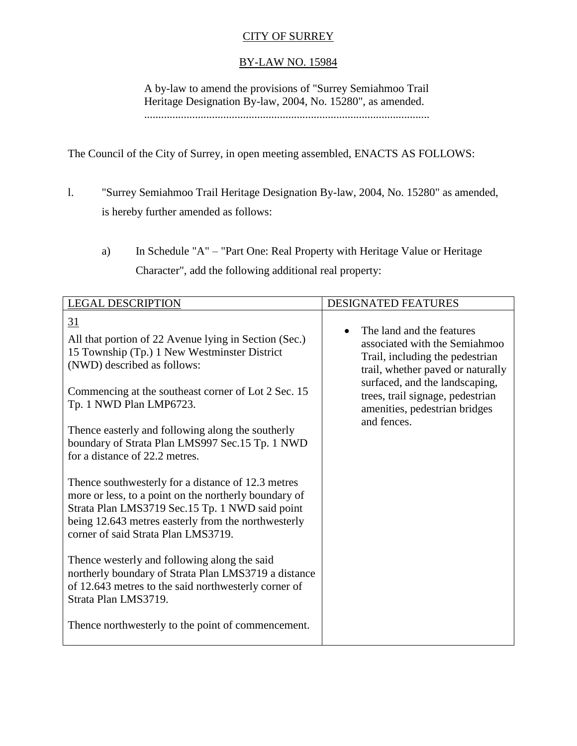## CITY OF SURREY

## BY-LAW NO. 15984

A by-law to amend the provisions of "Surrey Semiahmoo Trail Heritage Designation By-law, 2004, No. 15280", as amended. .....................................................................................................

The Council of the City of Surrey, in open meeting assembled, ENACTS AS FOLLOWS:

- l. "Surrey Semiahmoo Trail Heritage Designation By-law, 2004, No. 15280" as amended, is hereby further amended as follows:
	- a) In Schedule "A" "Part One: Real Property with Heritage Value or Heritage Character", add the following additional real property:

| <b>LEGAL DESCRIPTION</b>                                                                                                                                                                                                                                                                                                                                                                                                                                                                                                                                                                                                                                                                                                                                                                                                                                                                    | <b>DESIGNATED FEATURES</b>                                                                                                                                                                                                                               |
|---------------------------------------------------------------------------------------------------------------------------------------------------------------------------------------------------------------------------------------------------------------------------------------------------------------------------------------------------------------------------------------------------------------------------------------------------------------------------------------------------------------------------------------------------------------------------------------------------------------------------------------------------------------------------------------------------------------------------------------------------------------------------------------------------------------------------------------------------------------------------------------------|----------------------------------------------------------------------------------------------------------------------------------------------------------------------------------------------------------------------------------------------------------|
| <u>31</u><br>All that portion of 22 Avenue lying in Section (Sec.)<br>15 Township (Tp.) 1 New Westminster District<br>(NWD) described as follows:<br>Commencing at the southeast corner of Lot 2 Sec. 15<br>Tp. 1 NWD Plan LMP6723.<br>Thence easterly and following along the southerly<br>boundary of Strata Plan LMS997 Sec.15 Tp. 1 NWD<br>for a distance of 22.2 metres.<br>Thence southwesterly for a distance of 12.3 metres<br>more or less, to a point on the northerly boundary of<br>Strata Plan LMS3719 Sec.15 Tp. 1 NWD said point<br>being 12.643 metres easterly from the northwesterly<br>corner of said Strata Plan LMS3719.<br>Thence westerly and following along the said<br>northerly boundary of Strata Plan LMS3719 a distance<br>of 12.643 metres to the said northwesterly corner of<br>Strata Plan LMS3719.<br>Thence northwesterly to the point of commencement. | The land and the features<br>associated with the Semiahmoo<br>Trail, including the pedestrian<br>trail, whether paved or naturally<br>surfaced, and the landscaping,<br>trees, trail signage, pedestrian<br>amenities, pedestrian bridges<br>and fences. |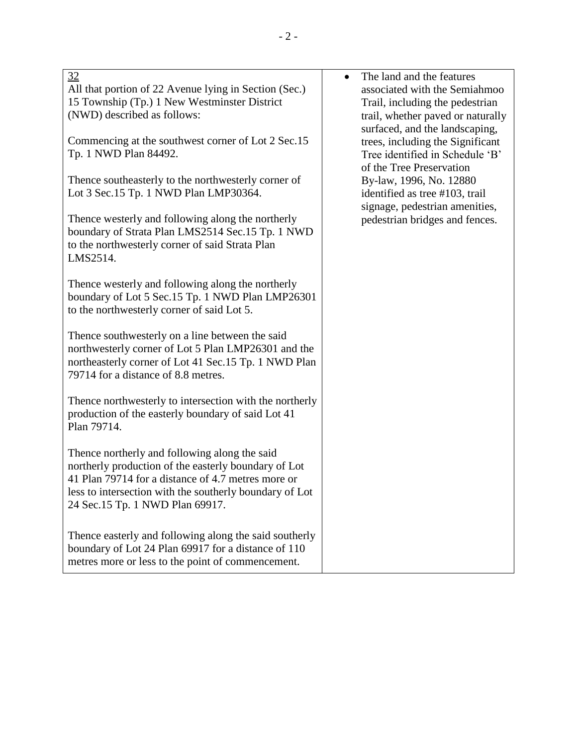| 32<br>All that portion of 22 Avenue lying in Section (Sec.)<br>15 Township (Tp.) 1 New Westminster District<br>(NWD) described as follows:<br>Commencing at the southwest corner of Lot 2 Sec.15                                                          | The land and the features<br>$\bullet$<br>associated with the Semiahmoo<br>Trail, including the pedestrian<br>trail, whether paved or naturally<br>surfaced, and the landscaping,<br>trees, including the Significant |
|-----------------------------------------------------------------------------------------------------------------------------------------------------------------------------------------------------------------------------------------------------------|-----------------------------------------------------------------------------------------------------------------------------------------------------------------------------------------------------------------------|
| Tp. 1 NWD Plan 84492.<br>Thence southeasterly to the northwesterly corner of<br>Lot 3 Sec.15 Tp. 1 NWD Plan LMP30364.                                                                                                                                     | Tree identified in Schedule 'B'<br>of the Tree Preservation<br>By-law, 1996, No. 12880<br>identified as tree #103, trail                                                                                              |
| Thence westerly and following along the northerly<br>boundary of Strata Plan LMS2514 Sec.15 Tp. 1 NWD<br>to the northwesterly corner of said Strata Plan<br>LMS2514.                                                                                      | signage, pedestrian amenities,<br>pedestrian bridges and fences.                                                                                                                                                      |
| Thence westerly and following along the northerly<br>boundary of Lot 5 Sec.15 Tp. 1 NWD Plan LMP26301<br>to the northwesterly corner of said Lot 5.                                                                                                       |                                                                                                                                                                                                                       |
| Thence southwesterly on a line between the said<br>northwesterly corner of Lot 5 Plan LMP26301 and the<br>northeasterly corner of Lot 41 Sec.15 Tp. 1 NWD Plan<br>79714 for a distance of 8.8 metres.                                                     |                                                                                                                                                                                                                       |
| Thence northwesterly to intersection with the northerly<br>production of the easterly boundary of said Lot 41<br>Plan 79714.                                                                                                                              |                                                                                                                                                                                                                       |
| Thence northerly and following along the said<br>northerly production of the easterly boundary of Lot<br>41 Plan 79714 for a distance of 4.7 metres more or<br>less to intersection with the southerly boundary of Lot<br>24 Sec.15 Tp. 1 NWD Plan 69917. |                                                                                                                                                                                                                       |

Thence easterly and following along the said southerly boundary of Lot 24 Plan 69917 for a distance of 110 metres more or less to the point of commencement.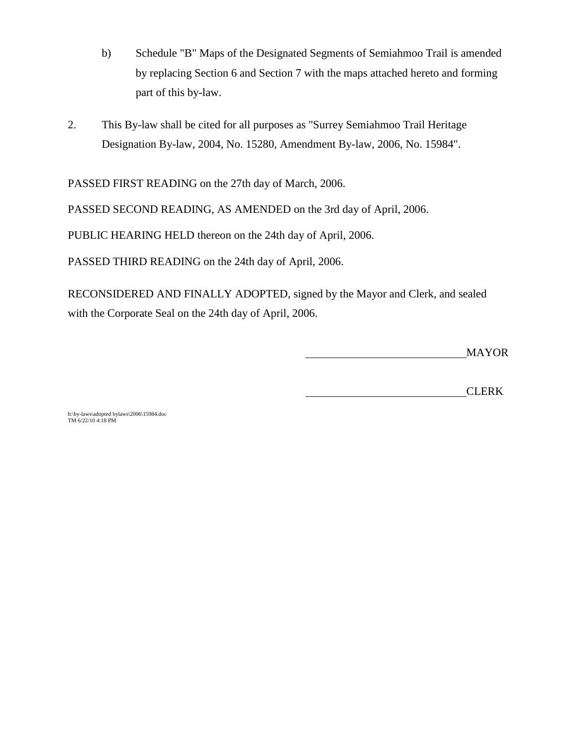- b) Schedule "B" Maps of the Designated Segments of Semiahmoo Trail is amended by replacing Section 6 and Section 7 with the maps attached hereto and forming part of this by-law.
- 2. This By-law shall be cited for all purposes as "Surrey Semiahmoo Trail Heritage Designation By-law, 2004, No. 15280, Amendment By-law, 2006, No. 15984".

PASSED FIRST READING on the 27th day of March, 2006.

PASSED SECOND READING, AS AMENDED on the 3rd day of April, 2006.

PUBLIC HEARING HELD thereon on the 24th day of April, 2006.

PASSED THIRD READING on the 24th day of April, 2006.

RECONSIDERED AND FINALLY ADOPTED, signed by the Mayor and Clerk, and sealed with the Corporate Seal on the 24th day of April, 2006.

MAYOR

CLERK

h:\by-laws\adopted bylaws\2006\15984.doc TM 6/22/10 4:18 PM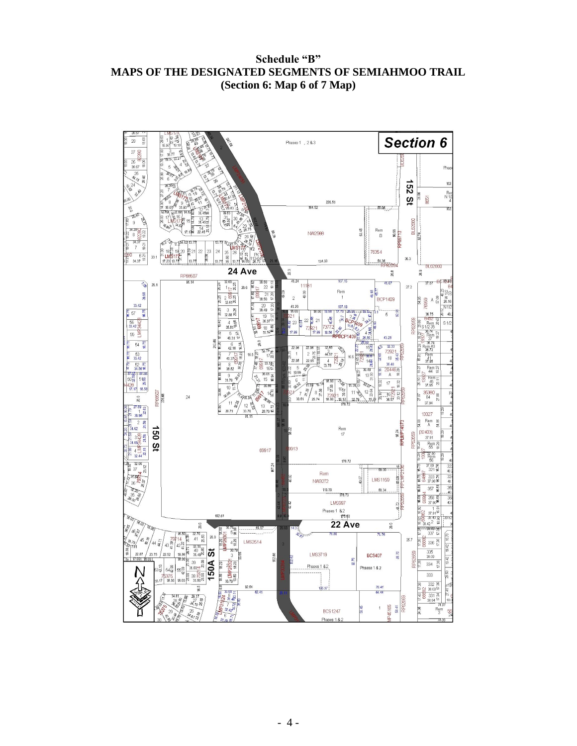**Schedule "B" MAPS OF THE DESIGNATED SEGMENTS OF SEMIAHMOO TRAIL (Section 6: Map 6 of 7 Map)**